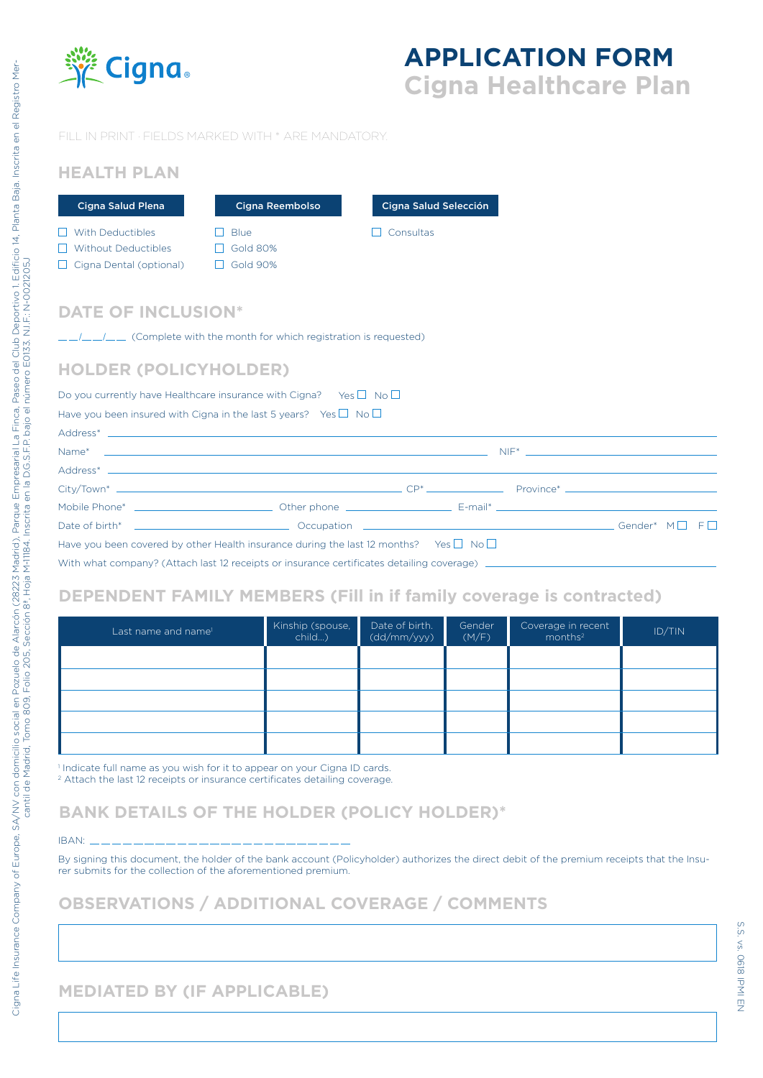

# **APPLICATION FORM Cigna Healthcare Plan**

### FILL IN PRINT · FIELDS MARKED WITH \* ARE MANDATORY.

# **HEALTH PLAN**

| Cigna Salud Plena                                                                | Cigna Reembolso                                   | Cigna Salud Selección |
|----------------------------------------------------------------------------------|---------------------------------------------------|-----------------------|
| With Deductibles<br><b>Without Deductibles</b><br>$\Box$ Cigna Dental (optional) | <b>Blue</b><br><b>Gold 80%</b><br><b>Gold 90%</b> | Consultas             |

### **DATE OF INCLUSION\***

 $\frac{1}{2}$  /  $\frac{1}{2}$  (Complete with the month for which registration is requested)

### **HOLDER (POLICYHOLDER)**

#### Do you currently have Healthcare insurance with Cigna? Yes  $\Box$  No  $\Box$

Have you been insured with Cigna in the last 5 years? Yes  $\Box$  No  $\Box$ 

| Have you been covered by other Health insurance during the last 12 months? Yes $\square$ No $\square$ |  |  |  |  |
|-------------------------------------------------------------------------------------------------------|--|--|--|--|
|                                                                                                       |  |  |  |  |

## **DEPENDENT FAMILY MEMBERS (Fill in if family coverage is contracted)**

| Last name and name <sup>1</sup> | Kinship (spouse,<br>child) | Date of birth.<br>(dd/mm/yyy) | Gender<br>(M/F) | Coverage in recent<br>months <sup>2</sup> | ID/TIN |
|---------------------------------|----------------------------|-------------------------------|-----------------|-------------------------------------------|--------|
|                                 |                            |                               |                 |                                           |        |
|                                 |                            |                               |                 |                                           |        |
|                                 |                            |                               |                 |                                           |        |
|                                 |                            |                               |                 |                                           |        |
|                                 |                            |                               |                 |                                           |        |

<sup>1</sup> Indicate full name as you wish for it to appear on your Cigna ID cards.

<sup>2</sup> Attach the last 12 receipts or insurance certificates detailing coverage.

# **BANK DETAILS OF THE HOLDER (POLICY HOLDER)\***

#### IBAN:

By signing this document, the holder of the bank account (Policyholder) authorizes the direct debit of the premium receipts that the Insurer submits for the collection of the aforementioned premium.

## **OBSERVATIONS / ADDITIONAL COVERAGE / COMMENTS**

# **MEDIATED BY (IF APPLICABLE)**